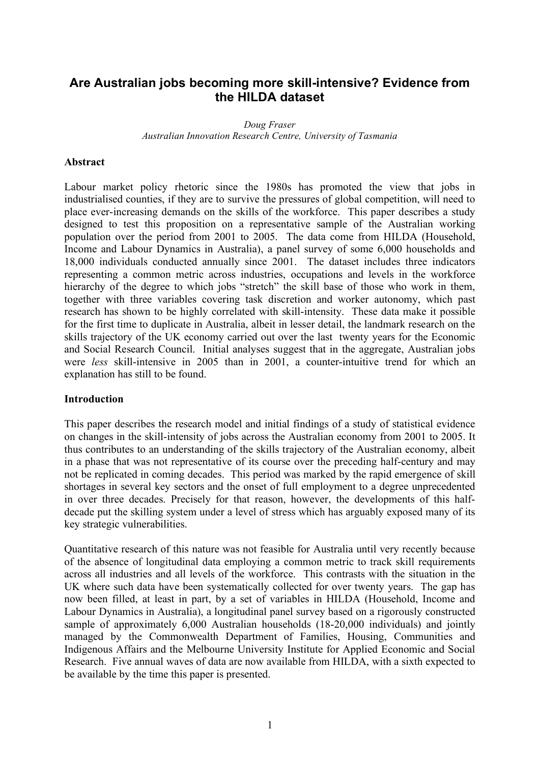# **Are Australian jobs becoming more skill-intensive? Evidence from the HILDA dataset**

*Doug Fraser Australian Innovation Research Centre, University of Tasmania*

#### **Abstract**

Labour market policy rhetoric since the 1980s has promoted the view that jobs in industrialised counties, if they are to survive the pressures of global competition, will need to place ever-increasing demands on the skills of the workforce. This paper describes a study designed to test this proposition on a representative sample of the Australian working population over the period from 2001 to 2005. The data come from HILDA (Household, Income and Labour Dynamics in Australia), a panel survey of some 6,000 households and 18,000 individuals conducted annually since 2001. The dataset includes three indicators representing a common metric across industries, occupations and levels in the workforce hierarchy of the degree to which jobs "stretch" the skill base of those who work in them. together with three variables covering task discretion and worker autonomy, which past research has shown to be highly correlated with skill-intensity. These data make it possible for the first time to duplicate in Australia, albeit in lesser detail, the landmark research on the skills trajectory of the UK economy carried out over the last twenty years for the Economic and Social Research Council. Initial analyses suggest that in the aggregate, Australian jobs were *less* skill-intensive in 2005 than in 2001, a counter-intuitive trend for which an explanation has still to be found.

#### **Introduction**

This paper describes the research model and initial findings of a study of statistical evidence on changes in the skill-intensity of jobs across the Australian economy from 2001 to 2005. It thus contributes to an understanding of the skills trajectory of the Australian economy, albeit in a phase that was not representative of its course over the preceding half-century and may not be replicated in coming decades. This period was marked by the rapid emergence of skill shortages in several key sectors and the onset of full employment to a degree unprecedented in over three decades. Precisely for that reason, however, the developments of this halfdecade put the skilling system under a level of stress which has arguably exposed many of its key strategic vulnerabilities.

Quantitative research of this nature was not feasible for Australia until very recently because of the absence of longitudinal data employing a common metric to track skill requirements across all industries and all levels of the workforce. This contrasts with the situation in the UK where such data have been systematically collected for over twenty years. The gap has now been filled, at least in part, by a set of variables in HILDA (Household, Income and Labour Dynamics in Australia), a longitudinal panel survey based on a rigorously constructed sample of approximately 6,000 Australian households (18-20,000 individuals) and jointly managed by the Commonwealth Department of Families, Housing, Communities and Indigenous Affairs and the Melbourne University Institute for Applied Economic and Social Research. Five annual waves of data are now available from HILDA, with a sixth expected to be available by the time this paper is presented.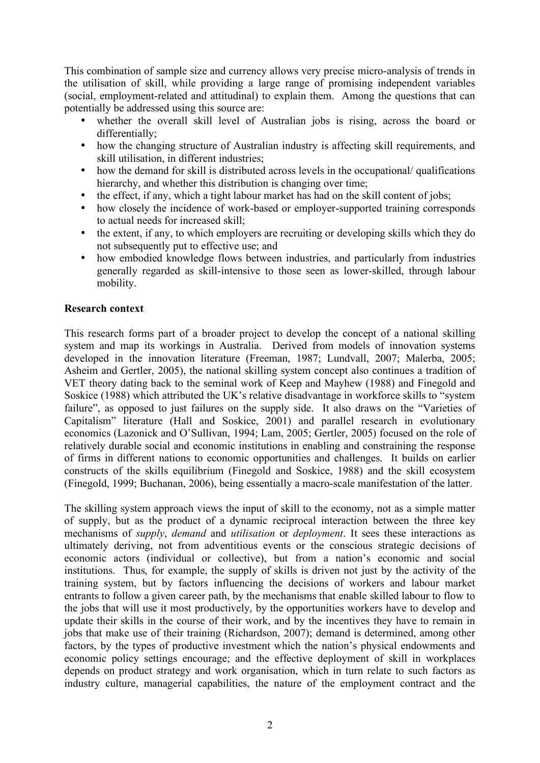This combination of sample size and currency allows very precise micro-analysis of trends in the utilisation of skill, while providing a large range of promising independent variables (social, employment-related and attitudinal) to explain them. Among the questions that can potentially be addressed using this source are:

- whether the overall skill level of Australian jobs is rising, across the board or differentially;
- how the changing structure of Australian industry is affecting skill requirements, and skill utilisation, in different industries;
- how the demand for skill is distributed across levels in the occupational/ qualifications hierarchy, and whether this distribution is changing over time;
- the effect, if any, which a tight labour market has had on the skill content of jobs;
- how closely the incidence of work-based or employer-supported training corresponds to actual needs for increased skill;
- the extent, if any, to which employers are recruiting or developing skills which they do not subsequently put to effective use; and
- how embodied knowledge flows between industries, and particularly from industries generally regarded as skill-intensive to those seen as lower-skilled, through labour mobility.

### **Research context**

This research forms part of a broader project to develop the concept of a national skilling system and map its workings in Australia. Derived from models of innovation systems developed in the innovation literature (Freeman, 1987; Lundvall, 2007; Malerba, 2005; Asheim and Gertler, 2005), the national skilling system concept also continues a tradition of VET theory dating back to the seminal work of Keep and Mayhew (1988) and Finegold and Soskice (1988) which attributed the UK's relative disadvantage in workforce skills to "system failure", as opposed to just failures on the supply side. It also draws on the "Varieties of Capitalism" literature (Hall and Soskice, 2001) and parallel research in evolutionary economics (Lazonick and O'Sullivan, 1994; Lam, 2005; Gertler, 2005) focused on the role of relatively durable social and economic institutions in enabling and constraining the response of firms in different nations to economic opportunities and challenges. It builds on earlier constructs of the skills equilibrium (Finegold and Soskice, 1988) and the skill ecosystem (Finegold, 1999; Buchanan, 2006), being essentially a macro-scale manifestation of the latter.

The skilling system approach views the input of skill to the economy, not as a simple matter of supply, but as the product of a dynamic reciprocal interaction between the three key mechanisms of *supply*, *demand* and *utilisation* or *deployment*. It sees these interactions as ultimately deriving, not from adventitious events or the conscious strategic decisions of economic actors (individual or collective), but from a nation's economic and social institutions. Thus, for example, the supply of skills is driven not just by the activity of the training system, but by factors influencing the decisions of workers and labour market entrants to follow a given career path, by the mechanisms that enable skilled labour to flow to the jobs that will use it most productively, by the opportunities workers have to develop and update their skills in the course of their work, and by the incentives they have to remain in jobs that make use of their training (Richardson, 2007); demand is determined, among other factors, by the types of productive investment which the nation's physical endowments and economic policy settings encourage; and the effective deployment of skill in workplaces depends on product strategy and work organisation, which in turn relate to such factors as industry culture, managerial capabilities, the nature of the employment contract and the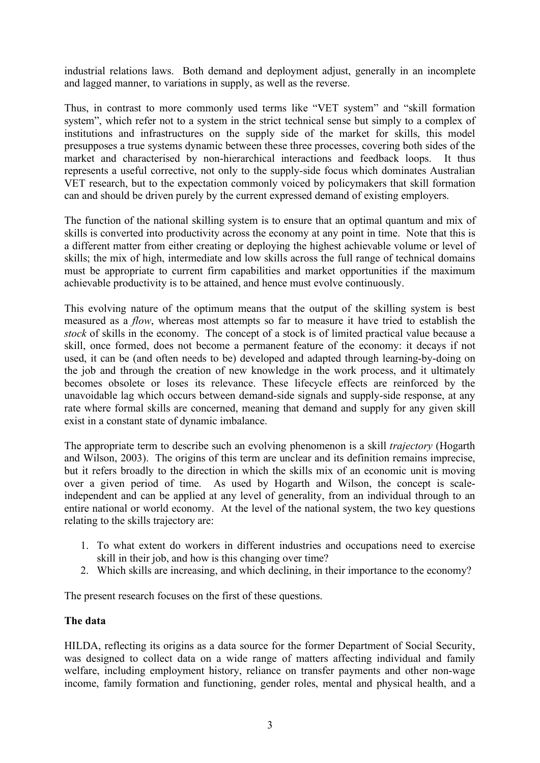industrial relations laws. Both demand and deployment adjust, generally in an incomplete and lagged manner, to variations in supply, as well as the reverse.

Thus, in contrast to more commonly used terms like "VET system" and "skill formation system", which refer not to a system in the strict technical sense but simply to a complex of institutions and infrastructures on the supply side of the market for skills, this model presupposes a true systems dynamic between these three processes, covering both sides of the market and characterised by non-hierarchical interactions and feedback loops. It thus represents a useful corrective, not only to the supply-side focus which dominates Australian VET research, but to the expectation commonly voiced by policymakers that skill formation can and should be driven purely by the current expressed demand of existing employers.

The function of the national skilling system is to ensure that an optimal quantum and mix of skills is converted into productivity across the economy at any point in time. Note that this is a different matter from either creating or deploying the highest achievable volume or level of skills; the mix of high, intermediate and low skills across the full range of technical domains must be appropriate to current firm capabilities and market opportunities if the maximum achievable productivity is to be attained, and hence must evolve continuously.

This evolving nature of the optimum means that the output of the skilling system is best measured as a *flow*, whereas most attempts so far to measure it have tried to establish the *stock* of skills in the economy. The concept of a stock is of limited practical value because a skill, once formed, does not become a permanent feature of the economy: it decays if not used, it can be (and often needs to be) developed and adapted through learning-by-doing on the job and through the creation of new knowledge in the work process, and it ultimately becomes obsolete or loses its relevance. These lifecycle effects are reinforced by the unavoidable lag which occurs between demand-side signals and supply-side response, at any rate where formal skills are concerned, meaning that demand and supply for any given skill exist in a constant state of dynamic imbalance.

The appropriate term to describe such an evolving phenomenon is a skill *trajectory* (Hogarth and Wilson, 2003). The origins of this term are unclear and its definition remains imprecise, but it refers broadly to the direction in which the skills mix of an economic unit is moving over a given period of time. As used by Hogarth and Wilson, the concept is scaleindependent and can be applied at any level of generality, from an individual through to an entire national or world economy. At the level of the national system, the two key questions relating to the skills trajectory are:

- 1. To what extent do workers in different industries and occupations need to exercise skill in their job, and how is this changing over time?
- 2. Which skills are increasing, and which declining, in their importance to the economy?

The present research focuses on the first of these questions.

### **The data**

HILDA, reflecting its origins as a data source for the former Department of Social Security, was designed to collect data on a wide range of matters affecting individual and family welfare, including employment history, reliance on transfer payments and other non-wage income, family formation and functioning, gender roles, mental and physical health, and a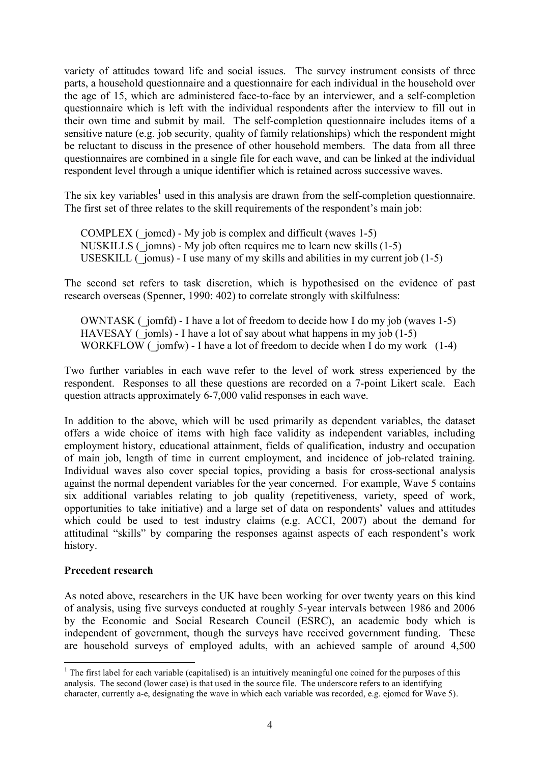variety of attitudes toward life and social issues. The survey instrument consists of three parts, a household questionnaire and a questionnaire for each individual in the household over the age of 15, which are administered face-to-face by an interviewer, and a self-completion questionnaire which is left with the individual respondents after the interview to fill out in their own time and submit by mail. The self-completion questionnaire includes items of a sensitive nature (e.g. job security, quality of family relationships) which the respondent might be reluctant to discuss in the presence of other household members. The data from all three questionnaires are combined in a single file for each wave, and can be linked at the individual respondent level through a unique identifier which is retained across successive waves.

The six key variables<sup>1</sup> used in this analysis are drawn from the self-completion questionnaire. The first set of three relates to the skill requirements of the respondent's main job:

COMPLEX ( $\gamma$ jomcd) - My job is complex and difficult (waves 1-5) NUSKILLS (\_jomns) - My job often requires me to learn new skills (1-5) USESKILL ( $\overline{\ }$  jomus) - I use many of my skills and abilities in my current job (1-5)

The second set refers to task discretion, which is hypothesised on the evidence of past research overseas (Spenner, 1990: 402) to correlate strongly with skilfulness:

OWNTASK (\_jomfd) - I have a lot of freedom to decide how I do my job (waves 1-5) HAVESAY ( $\overline{\ }$  jomls) - I have a lot of say about what happens in my job (1-5) WORKFLOW ( $\overline{j}$ omfw) - I have a lot of freedom to decide when I do my work (1-4)

Two further variables in each wave refer to the level of work stress experienced by the respondent. Responses to all these questions are recorded on a 7-point Likert scale. Each question attracts approximately 6-7,000 valid responses in each wave.

In addition to the above, which will be used primarily as dependent variables, the dataset offers a wide choice of items with high face validity as independent variables, including employment history, educational attainment, fields of qualification, industry and occupation of main job, length of time in current employment, and incidence of job-related training. Individual waves also cover special topics, providing a basis for cross-sectional analysis against the normal dependent variables for the year concerned. For example, Wave 5 contains six additional variables relating to job quality (repetitiveness, variety, speed of work, opportunities to take initiative) and a large set of data on respondents' values and attitudes which could be used to test industry claims (e.g. ACCI, 2007) about the demand for attitudinal "skills" by comparing the responses against aspects of each respondent's work history.

#### **Precedent research**

As noted above, researchers in the UK have been working for over twenty years on this kind of analysis, using five surveys conducted at roughly 5-year intervals between 1986 and 2006 by the Economic and Social Research Council (ESRC), an academic body which is independent of government, though the surveys have received government funding. These are household surveys of employed adults, with an achieved sample of around 4,500

 $1$  The first label for each variable (capitalised) is an intuitively meaningful one coined for the purposes of this analysis. The second (lower case) is that used in the source file. The underscore refers to an identifying character, currently a-e, designating the wave in which each variable was recorded, e.g. ejomcd for Wave 5).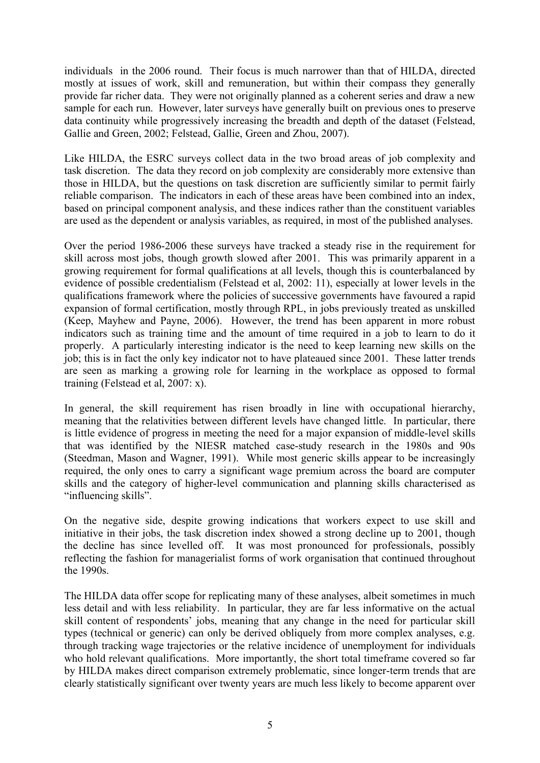individuals in the 2006 round. Their focus is much narrower than that of HILDA, directed mostly at issues of work, skill and remuneration, but within their compass they generally provide far richer data. They were not originally planned as a coherent series and draw a new sample for each run. However, later surveys have generally built on previous ones to preserve data continuity while progressively increasing the breadth and depth of the dataset (Felstead, Gallie and Green, 2002; Felstead, Gallie, Green and Zhou, 2007).

Like HILDA, the ESRC surveys collect data in the two broad areas of job complexity and task discretion. The data they record on job complexity are considerably more extensive than those in HILDA, but the questions on task discretion are sufficiently similar to permit fairly reliable comparison. The indicators in each of these areas have been combined into an index, based on principal component analysis, and these indices rather than the constituent variables are used as the dependent or analysis variables, as required, in most of the published analyses.

Over the period 1986-2006 these surveys have tracked a steady rise in the requirement for skill across most jobs, though growth slowed after 2001. This was primarily apparent in a growing requirement for formal qualifications at all levels, though this is counterbalanced by evidence of possible credentialism (Felstead et al, 2002: 11), especially at lower levels in the qualifications framework where the policies of successive governments have favoured a rapid expansion of formal certification, mostly through RPL, in jobs previously treated as unskilled (Keep, Mayhew and Payne, 2006). However, the trend has been apparent in more robust indicators such as training time and the amount of time required in a job to learn to do it properly. A particularly interesting indicator is the need to keep learning new skills on the job; this is in fact the only key indicator not to have plateaued since 2001. These latter trends are seen as marking a growing role for learning in the workplace as opposed to formal training (Felstead et al, 2007: x).

In general, the skill requirement has risen broadly in line with occupational hierarchy, meaning that the relativities between different levels have changed little. In particular, there is little evidence of progress in meeting the need for a major expansion of middle-level skills that was identified by the NIESR matched case-study research in the 1980s and 90s (Steedman, Mason and Wagner, 1991). While most generic skills appear to be increasingly required, the only ones to carry a significant wage premium across the board are computer skills and the category of higher-level communication and planning skills characterised as "influencing skills".

On the negative side, despite growing indications that workers expect to use skill and initiative in their jobs, the task discretion index showed a strong decline up to 2001, though the decline has since levelled off. It was most pronounced for professionals, possibly reflecting the fashion for managerialist forms of work organisation that continued throughout the 1990s.

The HILDA data offer scope for replicating many of these analyses, albeit sometimes in much less detail and with less reliability. In particular, they are far less informative on the actual skill content of respondents' jobs, meaning that any change in the need for particular skill types (technical or generic) can only be derived obliquely from more complex analyses, e.g. through tracking wage trajectories or the relative incidence of unemployment for individuals who hold relevant qualifications. More importantly, the short total timeframe covered so far by HILDA makes direct comparison extremely problematic, since longer-term trends that are clearly statistically significant over twenty years are much less likely to become apparent over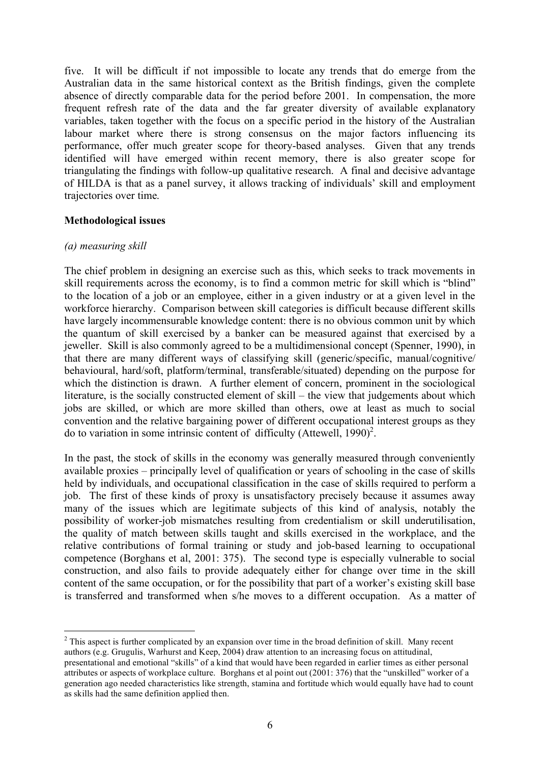five. It will be difficult if not impossible to locate any trends that do emerge from the Australian data in the same historical context as the British findings, given the complete absence of directly comparable data for the period before 2001. In compensation, the more frequent refresh rate of the data and the far greater diversity of available explanatory variables, taken together with the focus on a specific period in the history of the Australian labour market where there is strong consensus on the major factors influencing its performance, offer much greater scope for theory-based analyses. Given that any trends identified will have emerged within recent memory, there is also greater scope for triangulating the findings with follow-up qualitative research. A final and decisive advantage of HILDA is that as a panel survey, it allows tracking of individuals' skill and employment trajectories over time.

#### **Methodological issues**

#### *(a) measuring skill*

The chief problem in designing an exercise such as this, which seeks to track movements in skill requirements across the economy, is to find a common metric for skill which is "blind" to the location of a job or an employee, either in a given industry or at a given level in the workforce hierarchy. Comparison between skill categories is difficult because different skills have largely incommensurable knowledge content: there is no obvious common unit by which the quantum of skill exercised by a banker can be measured against that exercised by a jeweller. Skill is also commonly agreed to be a multidimensional concept (Spenner, 1990), in that there are many different ways of classifying skill (generic/specific, manual/cognitive/ behavioural, hard/soft, platform/terminal, transferable/situated) depending on the purpose for which the distinction is drawn. A further element of concern, prominent in the sociological literature, is the socially constructed element of skill – the view that judgements about which jobs are skilled, or which are more skilled than others, owe at least as much to social convention and the relative bargaining power of different occupational interest groups as they do to variation in some intrinsic content of difficulty (Attewell, 1990)<sup>2</sup>.

In the past, the stock of skills in the economy was generally measured through conveniently available proxies – principally level of qualification or years of schooling in the case of skills held by individuals, and occupational classification in the case of skills required to perform a job. The first of these kinds of proxy is unsatisfactory precisely because it assumes away many of the issues which are legitimate subjects of this kind of analysis, notably the possibility of worker-job mismatches resulting from credentialism or skill underutilisation, the quality of match between skills taught and skills exercised in the workplace, and the relative contributions of formal training or study and job-based learning to occupational competence (Borghans et al, 2001: 375). The second type is especially vulnerable to social construction, and also fails to provide adequately either for change over time in the skill content of the same occupation, or for the possibility that part of a worker's existing skill base is transferred and transformed when s/he moves to a different occupation. As a matter of

<sup>&</sup>lt;sup>2</sup> This aspect is further complicated by an expansion over time in the broad definition of skill. Many recent authors (e.g. Grugulis, Warhurst and Keep, 2004) draw attention to an increasing focus on attitudinal, presentational and emotional "skills" of a kind that would have been regarded in earlier times as either personal attributes or aspects of workplace culture. Borghans et al point out (2001: 376) that the "unskilled" worker of a generation ago needed characteristics like strength, stamina and fortitude which would equally have had to count as skills had the same definition applied then.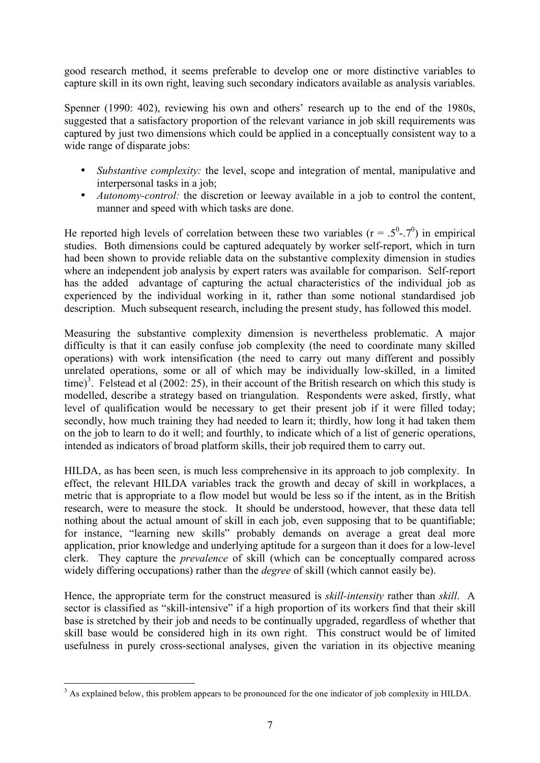good research method, it seems preferable to develop one or more distinctive variables to capture skill in its own right, leaving such secondary indicators available as analysis variables.

Spenner (1990: 402), reviewing his own and others' research up to the end of the 1980s, suggested that a satisfactory proportion of the relevant variance in job skill requirements was captured by just two dimensions which could be applied in a conceptually consistent way to a wide range of disparate jobs:

- *Substantive complexity:* the level, scope and integration of mental, manipulative and interpersonal tasks in a job;
- *Autonomy-control:* the discretion or leeway available in a job to control the content, manner and speed with which tasks are done.

He reported high levels of correlation between these two variables ( $r = .5^{\circ}$ -.7<sup>0</sup>) in empirical studies. Both dimensions could be captured adequately by worker self-report, which in turn had been shown to provide reliable data on the substantive complexity dimension in studies where an independent job analysis by expert raters was available for comparison. Self-report has the added advantage of capturing the actual characteristics of the individual job as experienced by the individual working in it, rather than some notional standardised job description. Much subsequent research, including the present study, has followed this model.

Measuring the substantive complexity dimension is nevertheless problematic. A major difficulty is that it can easily confuse job complexity (the need to coordinate many skilled operations) with work intensification (the need to carry out many different and possibly unrelated operations, some or all of which may be individually low-skilled, in a limited time)<sup>3</sup>. Felstead et al (2002: 25), in their account of the British research on which this study is modelled, describe a strategy based on triangulation. Respondents were asked, firstly, what level of qualification would be necessary to get their present job if it were filled today; secondly, how much training they had needed to learn it; thirdly, how long it had taken them on the job to learn to do it well; and fourthly, to indicate which of a list of generic operations, intended as indicators of broad platform skills, their job required them to carry out.

HILDA, as has been seen, is much less comprehensive in its approach to job complexity. In effect, the relevant HILDA variables track the growth and decay of skill in workplaces, a metric that is appropriate to a flow model but would be less so if the intent, as in the British research, were to measure the stock. It should be understood, however, that these data tell nothing about the actual amount of skill in each job, even supposing that to be quantifiable; for instance, "learning new skills" probably demands on average a great deal more application, prior knowledge and underlying aptitude for a surgeon than it does for a low-level clerk. They capture the *prevalence* of skill (which can be conceptually compared across widely differing occupations) rather than the *degree* of skill (which cannot easily be).

Hence, the appropriate term for the construct measured is *skill-intensity* rather than *skill*. A sector is classified as "skill-intensive" if a high proportion of its workers find that their skill base is stretched by their job and needs to be continually upgraded, regardless of whether that skill base would be considered high in its own right. This construct would be of limited usefulness in purely cross-sectional analyses, given the variation in its objective meaning

<sup>&</sup>lt;sup>3</sup> As explained below, this problem appears to be pronounced for the one indicator of job complexity in HILDA.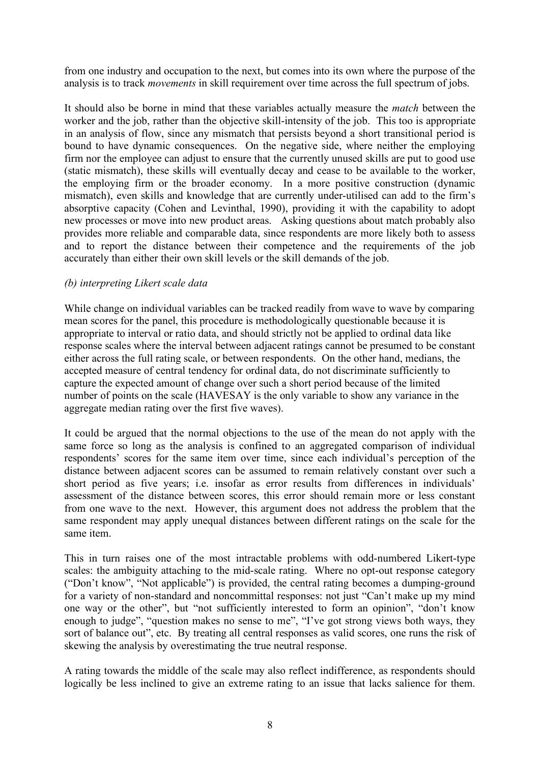from one industry and occupation to the next, but comes into its own where the purpose of the analysis is to track *movements* in skill requirement over time across the full spectrum of jobs.

It should also be borne in mind that these variables actually measure the *match* between the worker and the job, rather than the objective skill-intensity of the job. This too is appropriate in an analysis of flow, since any mismatch that persists beyond a short transitional period is bound to have dynamic consequences. On the negative side, where neither the employing firm nor the employee can adjust to ensure that the currently unused skills are put to good use (static mismatch), these skills will eventually decay and cease to be available to the worker, the employing firm or the broader economy. In a more positive construction (dynamic mismatch), even skills and knowledge that are currently under-utilised can add to the firm's absorptive capacity (Cohen and Levinthal, 1990), providing it with the capability to adopt new processes or move into new product areas. Asking questions about match probably also provides more reliable and comparable data, since respondents are more likely both to assess and to report the distance between their competence and the requirements of the job accurately than either their own skill levels or the skill demands of the job.

### *(b) interpreting Likert scale data*

While change on individual variables can be tracked readily from wave to wave by comparing mean scores for the panel, this procedure is methodologically questionable because it is appropriate to interval or ratio data, and should strictly not be applied to ordinal data like response scales where the interval between adjacent ratings cannot be presumed to be constant either across the full rating scale, or between respondents. On the other hand, medians, the accepted measure of central tendency for ordinal data, do not discriminate sufficiently to capture the expected amount of change over such a short period because of the limited number of points on the scale (HAVESAY is the only variable to show any variance in the aggregate median rating over the first five waves).

It could be argued that the normal objections to the use of the mean do not apply with the same force so long as the analysis is confined to an aggregated comparison of individual respondents' scores for the same item over time, since each individual's perception of the distance between adjacent scores can be assumed to remain relatively constant over such a short period as five years; i.e. insofar as error results from differences in individuals' assessment of the distance between scores, this error should remain more or less constant from one wave to the next. However, this argument does not address the problem that the same respondent may apply unequal distances between different ratings on the scale for the same item.

This in turn raises one of the most intractable problems with odd-numbered Likert-type scales: the ambiguity attaching to the mid-scale rating. Where no opt-out response category ("Don't know", "Not applicable") is provided, the central rating becomes a dumping-ground for a variety of non-standard and noncommittal responses: not just "Can't make up my mind one way or the other", but "not sufficiently interested to form an opinion", "don't know enough to judge", "question makes no sense to me", "I've got strong views both ways, they sort of balance out", etc. By treating all central responses as valid scores, one runs the risk of skewing the analysis by overestimating the true neutral response.

A rating towards the middle of the scale may also reflect indifference, as respondents should logically be less inclined to give an extreme rating to an issue that lacks salience for them.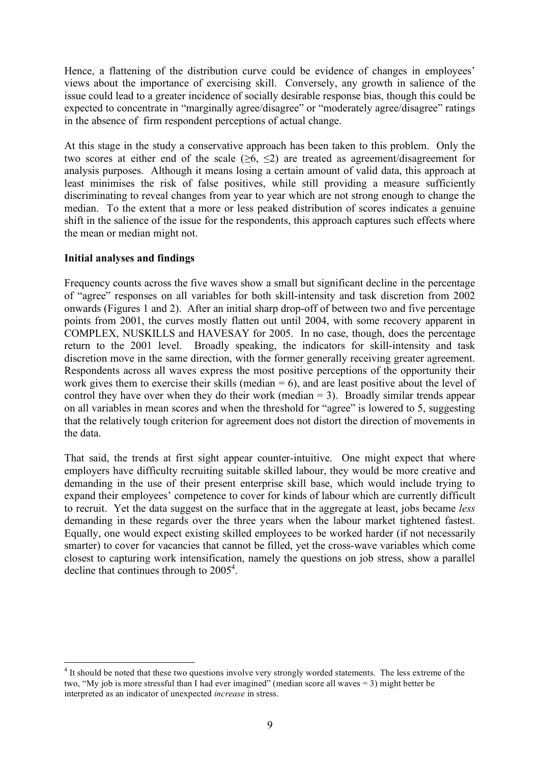Hence, a flattening of the distribution curve could be evidence of changes in employees' views about the importance of exercising skill. Conversely, any growth in salience of the issue could lead to a greater incidence of socially desirable response bias, though this could be expected to concentrate in "marginally agree/disagree" or "moderately agree/disagree" ratings in the absence of firm respondent perceptions of actual change.

At this stage in the study a conservative approach has been taken to this problem. Only the two scores at either end of the scale  $(\geq 6, \leq 2)$  are treated as agreement/disagreement for analysis purposes. Although it means losing a certain amount of valid data, this approach at least minimises the risk of false positives, while still providing a measure sufficiently discriminating to reveal changes from year to year which are not strong enough to change the median. To the extent that a more or less peaked distribution of scores indicates a genuine shift in the salience of the issue for the respondents, this approach captures such effects where the mean or median might not.

### **Initial analyses and findings**

Frequency counts across the five waves show a small but significant decline in the percentage of "agree" responses on all variables for both skill-intensity and task discretion from 2002 onwards (Figures 1 and 2). After an initial sharp drop-off of between two and five percentage points from 2001, the curves mostly flatten out until 2004, with some recovery apparent in COMPLEX, NUSKILLS and HAVESAY for 2005. In no case, though, does the percentage return to the 2001 level. Broadly speaking, the indicators for skill-intensity and task discretion move in the same direction, with the former generally receiving greater agreement. Respondents across all waves express the most positive perceptions of the opportunity their work gives them to exercise their skills (median  $= 6$ ), and are least positive about the level of control they have over when they do their work (median  $= 3$ ). Broadly similar trends appear on all variables in mean scores and when the threshold for "agree" is lowered to 5, suggesting that the relatively tough criterion for agreement does not distort the direction of movements in the data.

That said, the trends at first sight appear counter-intuitive. One might expect that where employers have difficulty recruiting suitable skilled labour, they would be more creative and demanding in the use of their present enterprise skill base, which would include trying to expand their employees' competence to cover for kinds of labour which are currently difficult to recruit. Yet the data suggest on the surface that in the aggregate at least, jobs became *less* demanding in these regards over the three years when the labour market tightened fastest. Equally, one would expect existing skilled employees to be worked harder (if not necessarily smarter) to cover for vacancies that cannot be filled, yet the cross-wave variables which come closest to capturing work intensification, namely the questions on job stress, show a parallel decline that continues through to  $2005<sup>4</sup>$ .

<sup>&</sup>lt;sup>4</sup> It should be noted that these two questions involve very strongly worded statements. The less extreme of the two, "My job is more stressful than I had ever imagined" (median score all waves = 3) might better be interpreted as an indicator of unexpected *increase* in stress.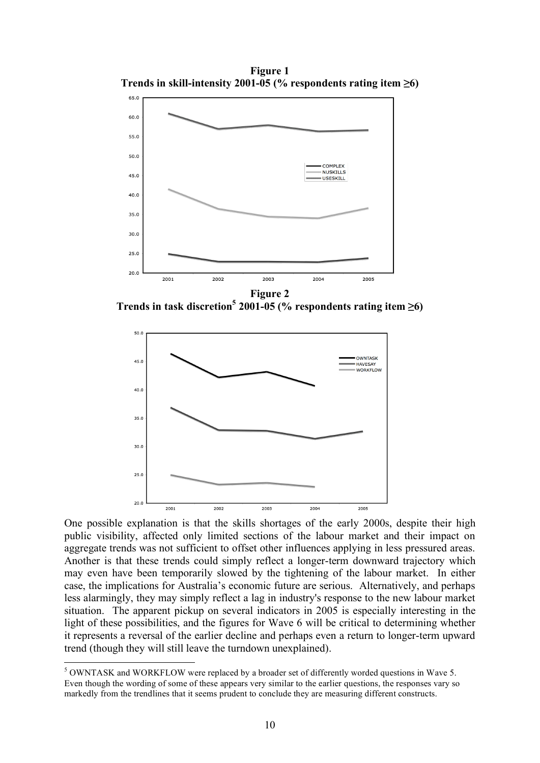**Figure 1 Trends in skill-intensity 2001-05 (% respondents rating item ≥6)**



**Trends** in task discretion<sup>5</sup> **2001-05** (% respondents rating item  $\geq 6$ )



One possible explanation is that the skills shortages of the early 2000s, despite their high public visibility, affected only limited sections of the labour market and their impact on aggregate trends was not sufficient to offset other influences applying in less pressured areas. Another is that these trends could simply reflect a longer-term downward trajectory which may even have been temporarily slowed by the tightening of the labour market. In either case, the implications for Australia's economic future are serious. Alternatively, and perhaps less alarmingly, they may simply reflect a lag in industry's response to the new labour market situation. The apparent pickup on several indicators in 2005 is especially interesting in the light of these possibilities, and the figures for Wave 6 will be critical to determining whether it represents a reversal of the earlier decline and perhaps even a return to longer-term upward trend (though they will still leave the turndown unexplained).

 <sup>5</sup> OWNTASK and WORKFLOW were replaced by <sup>a</sup> broader set of differently worded questions in Wave 5. Even though the wording of some of these appears very similar to the earlier questions, the responses vary so markedly from the trendlines that it seems prudent to conclude they are measuring different constructs.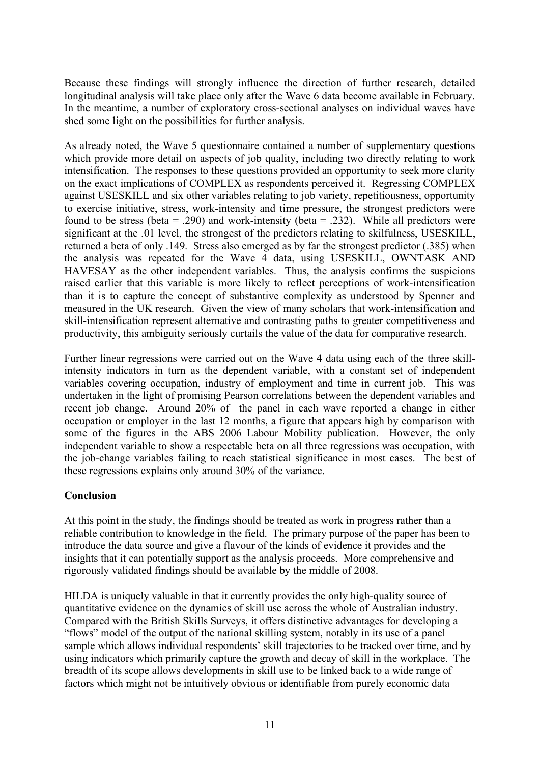Because these findings will strongly influence the direction of further research, detailed longitudinal analysis will take place only after the Wave 6 data become available in February. In the meantime, a number of exploratory cross-sectional analyses on individual waves have shed some light on the possibilities for further analysis.

As already noted, the Wave 5 questionnaire contained a number of supplementary questions which provide more detail on aspects of job quality, including two directly relating to work intensification. The responses to these questions provided an opportunity to seek more clarity on the exact implications of COMPLEX as respondents perceived it. Regressing COMPLEX against USESKILL and six other variables relating to job variety, repetitiousness, opportunity to exercise initiative, stress, work-intensity and time pressure, the strongest predictors were found to be stress (beta = .290) and work-intensity (beta = .232). While all predictors were significant at the .01 level, the strongest of the predictors relating to skilfulness, USESKILL, returned a beta of only .149. Stress also emerged as by far the strongest predictor (.385) when the analysis was repeated for the Wave 4 data, using USESKILL, OWNTASK AND HAVESAY as the other independent variables. Thus, the analysis confirms the suspicions raised earlier that this variable is more likely to reflect perceptions of work-intensification than it is to capture the concept of substantive complexity as understood by Spenner and measured in the UK research. Given the view of many scholars that work-intensification and skill-intensification represent alternative and contrasting paths to greater competitiveness and productivity, this ambiguity seriously curtails the value of the data for comparative research.

Further linear regressions were carried out on the Wave 4 data using each of the three skillintensity indicators in turn as the dependent variable, with a constant set of independent variables covering occupation, industry of employment and time in current job. This was undertaken in the light of promising Pearson correlations between the dependent variables and recent job change. Around 20% of the panel in each wave reported a change in either occupation or employer in the last 12 months, a figure that appears high by comparison with some of the figures in the ABS 2006 Labour Mobility publication. However, the only independent variable to show a respectable beta on all three regressions was occupation, with the job-change variables failing to reach statistical significance in most cases. The best of these regressions explains only around 30% of the variance.

### **Conclusion**

At this point in the study, the findings should be treated as work in progress rather than a reliable contribution to knowledge in the field. The primary purpose of the paper has been to introduce the data source and give a flavour of the kinds of evidence it provides and the insights that it can potentially support as the analysis proceeds. More comprehensive and rigorously validated findings should be available by the middle of 2008.

HILDA is uniquely valuable in that it currently provides the only high-quality source of quantitative evidence on the dynamics of skill use across the whole of Australian industry. Compared with the British Skills Surveys, it offers distinctive advantages for developing a "flows" model of the output of the national skilling system, notably in its use of a panel sample which allows individual respondents' skill trajectories to be tracked over time, and by using indicators which primarily capture the growth and decay of skill in the workplace. The breadth of its scope allows developments in skill use to be linked back to a wide range of factors which might not be intuitively obvious or identifiable from purely economic data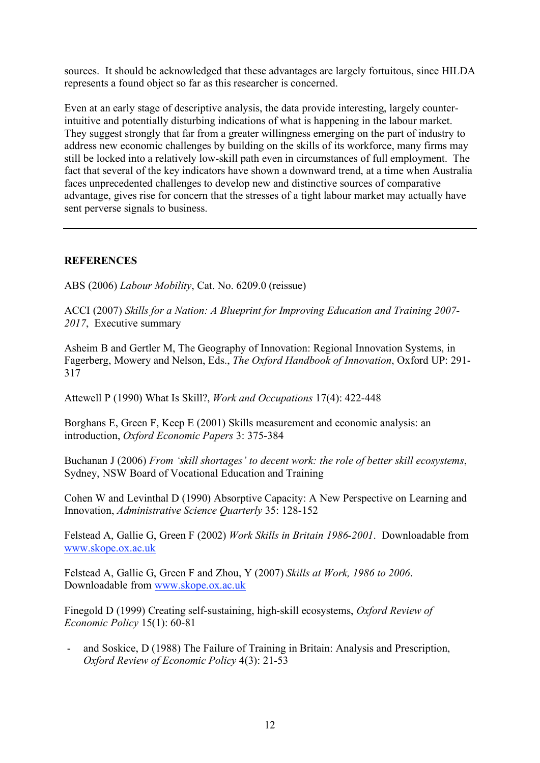sources. It should be acknowledged that these advantages are largely fortuitous, since HILDA represents a found object so far as this researcher is concerned.

Even at an early stage of descriptive analysis, the data provide interesting, largely counterintuitive and potentially disturbing indications of what is happening in the labour market. They suggest strongly that far from a greater willingness emerging on the part of industry to address new economic challenges by building on the skills of its workforce, many firms may still be locked into a relatively low-skill path even in circumstances of full employment. The fact that several of the key indicators have shown a downward trend, at a time when Australia faces unprecedented challenges to develop new and distinctive sources of comparative advantage, gives rise for concern that the stresses of a tight labour market may actually have sent perverse signals to business.

## **REFERENCES**

ABS (2006) *Labour Mobility*, Cat. No. 6209.0 (reissue)

ACCI (2007) *Skills for a Nation: A Blueprint for Improving Education and Training 2007- 2017*, Executive summary

Asheim B and Gertler M, The Geography of Innovation: Regional Innovation Systems, in Fagerberg, Mowery and Nelson, Eds., *The Oxford Handbook of Innovation*, Oxford UP: 291- 317

Attewell P (1990) What Is Skill?, *Work and Occupations* 17(4): 422-448

Borghans E, Green F, Keep E (2001) Skills measurement and economic analysis: an introduction, *Oxford Economic Papers* 3: 375-384

Buchanan J (2006) *From 'skill shortages' to decent work: the role of better skill ecosystems*, Sydney, NSW Board of Vocational Education and Training

Cohen W and Levinthal D (1990) Absorptive Capacity: A New Perspective on Learning and Innovation, *Administrative Science Quarterly* 35: 128-152

Felstead A, Gallie G, Green F (2002) *Work Skills in Britain 1986-2001*. Downloadable from www.skope.ox.ac.uk

Felstead A, Gallie G, Green F and Zhou, Y (2007) *Skills at Work, 1986 to 2006*. Downloadable from www.skope.ox.ac.uk

Finegold D (1999) Creating self-sustaining, high-skill ecosystems, *Oxford Review of Economic Policy* 15(1): 60-81

- and Soskice, D (1988) The Failure of Training in Britain: Analysis and Prescription, *Oxford Review of Economic Policy* 4(3): 21-53